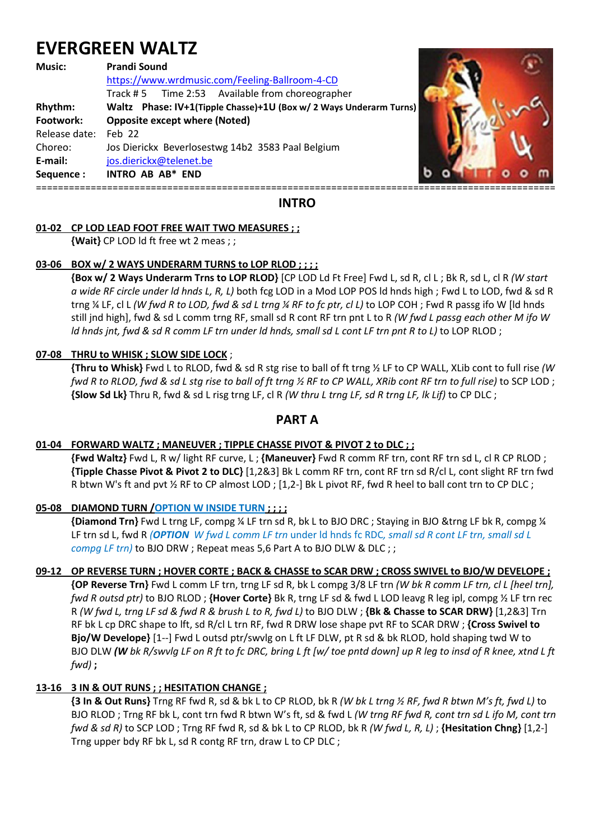# **EVERGREEN WALTZ**

#### **Music: Prandi Sound**

 https://www.wrdmusic.com/Feeling-Ballroom-4-CD Track # 5 Time 2:53 Available from choreographer **Rhythm: Waltz Phase: IV+1(Tipple Chasse)+1U (Box w/ 2 Ways Underarm Turns) Footwork: Opposite except where (Noted)**  Release date: Feb 22 Choreo: Jos Dierickx Beverlosestwg 14b2 3583 Paal Belgium **E-mail:** jos.dierickx@telenet.be **Sequence : INTRO AB AB\* END**  ===============================================================================================



**INTRO** 

## **01-02 CP LOD LEAD FOOT FREE WAIT TWO MEASURES ; ;**

 **{Wait}** CP LOD ld ft free wt 2 meas ; ;

## **03-06 BOX w/ 2 WAYS UNDERARM TURNS to LOP RLOD ; ; ; ;**

 **{Box w/ 2 Ways Underarm Trns to LOP RLOD}** [CP LOD Ld Ft Free] Fwd L, sd R, cl L ; Bk R, sd L, cl R *(W start a wide RF circle under ld hnds L, R, L)* both fcg LOD in a Mod LOP POS ld hnds high ; Fwd L to LOD, fwd & sd R trng ¼ LF, cl L *(W fwd R to LOD, fwd & sd L trng ¼ RF to fc ptr, cl L)* to LOP COH ; Fwd R passg ifo W [ld hnds still jnd high], fwd & sd L comm trng RF, small sd R cont RF trn pnt L to R *(W fwd L passg each other M ifo W ld hnds jnt, fwd & sd R comm LF trn under ld hnds, small sd L cont LF trn pnt R to L)* to LOP RLOD ;

## **07-08 THRU to WHISK ; SLOW SIDE LOCK** ;

 **{Thru to Whisk}** Fwd L to RLOD, fwd & sd R stg rise to ball of ft trng ½ LF to CP WALL, XLib cont to full rise *(W fwd R to RLOD, fwd & sd L stg rise to ball of ft trng ½ RF to CP WALL, XRib cont RF trn to full rise)* to SCP LOD ; **{Slow Sd Lk}** Thru R, fwd & sd L risg trng LF, cl R *(W thru L trng LF, sd R trng LF, lk Lif)* to CP DLC ;

## **PART A**

#### **01-04 FORWARD WALTZ ; MANEUVER ; TIPPLE CHASSE PIVOT & PIVOT 2 to DLC ; ;**

 **{Fwd Waltz}** Fwd L, R w/ light RF curve, L ; **{Maneuver}** Fwd R comm RF trn, cont RF trn sd L, cl R CP RLOD ; **{Tipple Chasse Pivot & Pivot 2 to DLC}** [1,2&3] Bk L comm RF trn, cont RF trn sd R/cl L, cont slight RF trn fwd R btwn W's ft and pvt % RF to CP almost LOD ; [1,2-] Bk L pivot RF, fwd R heel to ball cont trn to CP DLC ;

#### **05-08 DIAMOND TURN /OPTION W INSIDE TURN ; ; ; ;**

 **{Diamond Trn}** Fwd L trng LF, compg ¼ LF trn sd R, bk L to BJO DRC ; Staying in BJO &trng LF bk R, compg ¼ LF trn sd L, fwd R *(OPTION W fwd L comm LF trn* under ld hnds fc RDC*, small sd R cont LF trn, small sd L compg LF trn)* to BJO DRW ; Repeat meas 5,6 Part A to BJO DLW & DLC ; ;

#### **09-12 OP REVERSE TURN ; HOVER CORTE ; BACK & CHASSE to SCAR DRW ; CROSS SWIVEL to BJO/W DEVELOPE ;**

 **{OP Reverse Trn}** Fwd L comm LF trn, trng LF sd R, bk L compg 3/8 LF trn *(W bk R comm LF trn, cl L [heel trn], fwd R outsd ptr)* to BJO RLOD ; **{Hover Corte}** Bk R, trng LF sd & fwd L LOD leavg R leg ipl, compg ½ LF trn rec R *(W fwd L, trng LF sd & fwd R & brush L to R, fwd L)* to BJO DLW ; **{Bk & Chasse to SCAR DRW}** [1,2&3] Trn RF bk L cp DRC shape to lft, sd R/cl L trn RF, fwd R DRW lose shape pvt RF to SCAR DRW ; **{Cross Swivel to Bjo/W Develope}** [1--] Fwd L outsd ptr/swvlg on L ft LF DLW, pt R sd & bk RLOD, hold shaping twd W to BJO DLW *(W bk R/swvlg LF on R ft to fc DRC, bring L ft [w/ toe pntd down] up R leg to insd of R knee, xtnd L ft fwd)* **;**

## **13-16 3 IN & OUT RUNS ; ; HESITATION CHANGE ;**

 **{3 In & Out Runs}** Trng RF fwd R, sd & bk L to CP RLOD, bk R *(W bk L trng ½ RF, fwd R btwn M's ft, fwd L)* to BJO RLOD ; Trng RF bk L, cont trn fwd R btwn W's ft, sd & fwd L *(W trng RF fwd R, cont trn sd L ifo M, cont trn fwd & sd R)* to SCP LOD ; Trng RF fwd R, sd & bk L to CP RLOD, bk R *(W fwd L, R, L)* ; **{Hesitation Chng}** [1,2-] Trng upper bdy RF bk L, sd R contg RF trn, draw L to CP DLC ;